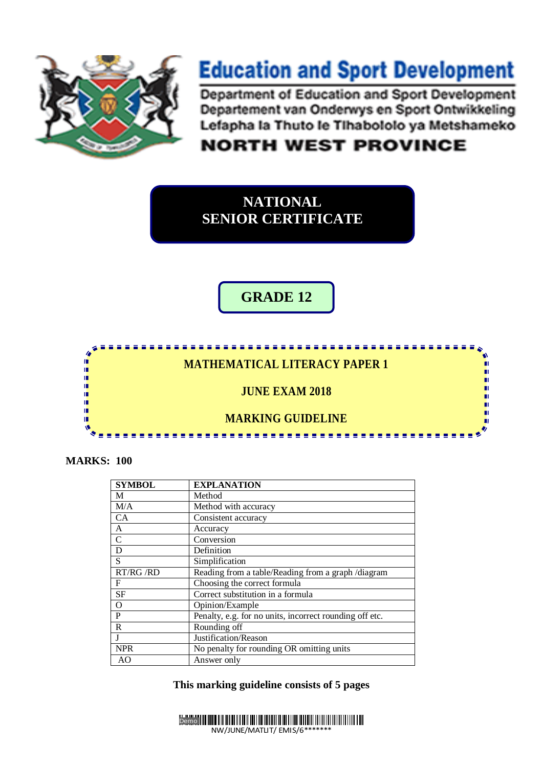

## **Education and Sport Development**

Department of Education and Sport Development Departement van Onderwys en Sport Ontwikkeling Lefapha la Thuto le Tihabololo ya Metshameko

## **NORTH WEST PROVINCE**

**NATIONAL SENIOR CERTIFICATE**

**GRADE 12**



**MARKS: 100**

| <b>SYMBOL</b> | <b>EXPLANATION</b>                                      |
|---------------|---------------------------------------------------------|
| М             | Method                                                  |
| M/A           | Method with accuracy                                    |
| <b>CA</b>     | Consistent accuracy                                     |
| A             | Accuracy                                                |
| $\mathcal{C}$ | Conversion                                              |
| D             | Definition                                              |
| S             | Simplification                                          |
| RT/RG /RD     | Reading from a table/Reading from a graph /diagram      |
| F             | Choosing the correct formula                            |
| <b>SF</b>     | Correct substitution in a formula                       |
| $\Omega$      | Opinion/Example                                         |
| P             | Penalty, e.g. for no units, incorrect rounding off etc. |
| R             | Rounding off                                            |
|               | Justification/Reason                                    |
| <b>NPR</b>    | No penalty for rounding OR omitting units               |
| AO.           | Answer only                                             |

**This marking guideline consists of 5 pages** 

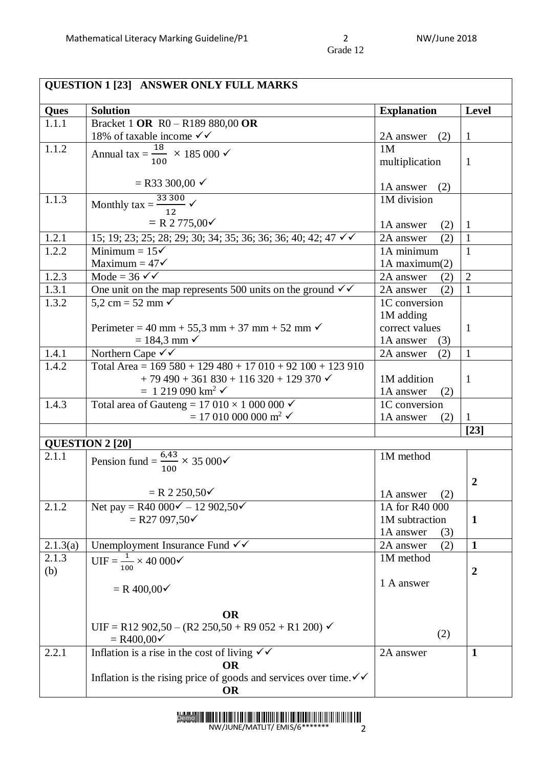| <b>QUESTION 1 [23] ANSWER ONLY FULL MARKS</b> |                                                                                       |                                 |                  |
|-----------------------------------------------|---------------------------------------------------------------------------------------|---------------------------------|------------------|
| Ques                                          | <b>Solution</b>                                                                       | <b>Explanation</b>              | <b>Level</b>     |
| 1.1.1                                         | Bracket 1 OR R0 - R189 880,00 OR                                                      |                                 |                  |
|                                               | 18% of taxable income $\checkmark\checkmark$                                          | 2A answer<br>(2)                | $\mathbf{1}$     |
| 1.1.2                                         | Annual tax = $\frac{18}{100} \times 185\,000 \checkmark$                              | 1M                              |                  |
|                                               |                                                                                       | multiplication                  | $\mathbf{1}$     |
|                                               |                                                                                       |                                 |                  |
|                                               | $=$ R33 300,00 $\checkmark$                                                           | 1A answer<br>(2)                |                  |
| 1.1.3                                         | Monthly $\tan x = \frac{33300}{100}$ $\checkmark$                                     | 1M division                     |                  |
|                                               | $= R 2 775,00 \checkmark$                                                             |                                 |                  |
|                                               |                                                                                       | 1A answer<br>(2)                | $\mathbf{1}$     |
| 1.2.1                                         | 15; 19; 23; 25; 28; 29; 30; 34; 35; 36; 36; 36; 40; 42; 47 √ ✓                        | (2)<br>2A answer                | $\mathbf{1}$     |
| 1.2.2                                         | Minimum = $15\checkmark$<br>Maximum = $47\checkmark$                                  | 1A minimum                      | $\mathbf{1}$     |
| 1.2.3                                         | $\overline{\text{Mode}} = 36 \checkmark$                                              | $1A$ maximum $(2)$<br>2A answer | $\overline{2}$   |
| 1.3.1                                         | One unit on the map represents 500 units on the ground $\checkmark\checkmark$         | (2)<br>(2)<br>2A answer         | 1                |
| 1.3.2                                         | $5.2 \text{ cm} = 52 \text{ mm}$                                                      | 1C conversion                   |                  |
|                                               |                                                                                       | 1M adding                       |                  |
|                                               | Perimeter = 40 mm + 55,3 mm + 37 mm + 52 mm $\checkmark$                              | correct values                  | 1                |
|                                               | $= 184.3$ mm $\checkmark$                                                             | 1A answer<br>(3)                |                  |
| 1.4.1                                         | Northern Cape $\checkmark\checkmark$                                                  | 2A answer<br>(2)                | $\mathbf{1}$     |
| 1.4.2                                         | Total Area = $169\,580 + 129\,480 + 17\,010 + 92\,100 + 123\,910$                     |                                 |                  |
|                                               | $+ 79490 + 361830 + 116320 + 129370$                                                  | 1M addition                     | $\mathbf{1}$     |
|                                               | $= 1219090 \text{ km}^2$ $\checkmark$                                                 | 1A answer<br>(2)                |                  |
| 1.4.3                                         | Total area of Gauteng = $17010 \times 1000000$                                        | 1C conversion                   |                  |
|                                               | $= 17010000000 \text{ m}^2$ $\checkmark$                                              | 1A answer<br>(2)                | 1                |
|                                               |                                                                                       |                                 | $[23]$           |
|                                               | <b>QUESTION 2 [20]</b>                                                                |                                 |                  |
| 2.1.1                                         | Pension fund = $\frac{6,43}{100} \times 35\,000\checkmark$                            | 1M method                       |                  |
|                                               |                                                                                       |                                 |                  |
|                                               |                                                                                       |                                 | $\boldsymbol{2}$ |
|                                               | $= R 2 250,50 \checkmark$                                                             | (2)<br>1A answer                |                  |
| 2.1.2                                         | Net pay = R40 $000\check{v}$ – 12 902,50 $\check{v}$                                  | 1A for R40 000                  |                  |
|                                               | $=$ R27 097,50 $\checkmark$                                                           | 1M subtraction                  | $\mathbf{1}$     |
|                                               |                                                                                       | 1A answer<br>(3)                |                  |
| 2.1.3(a)                                      | Unemployment Insurance Fund $\checkmark\checkmark$                                    | (2)<br>2A answer                | $\mathbf{1}$     |
| 2.1.3                                         | $UIF = \frac{1}{100} \times 40\,000 \checkmark$                                       | 1M method                       |                  |
| (b)                                           |                                                                                       |                                 | $\overline{2}$   |
|                                               | $= R 400,00 \checkmark$                                                               | 1 A answer                      |                  |
|                                               |                                                                                       |                                 |                  |
|                                               | <b>OR</b>                                                                             |                                 |                  |
|                                               | UIF = R12 902,50 - (R2 250,50 + R9 052 + R1 200) $\checkmark$                         |                                 |                  |
|                                               | $= R400,00 \checkmark$                                                                | (2)                             |                  |
| 2.2.1                                         | Inflation is a rise in the cost of living $\sqrt{\checkmark}$                         | 2A answer                       | $\mathbf{1}$     |
|                                               | <b>OR</b>                                                                             |                                 |                  |
|                                               | Inflation is the rising price of goods and services over time. $\checkmark\checkmark$ |                                 |                  |
|                                               | <b>OR</b>                                                                             |                                 |                  |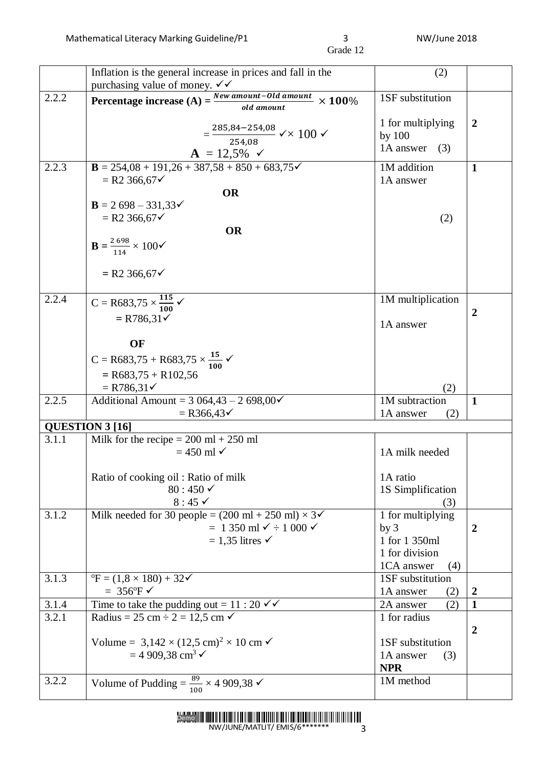|       | Inflation is the general increase in prices and fall in the                                      | (2)                                  |                                  |
|-------|--------------------------------------------------------------------------------------------------|--------------------------------------|----------------------------------|
|       | purchasing value of money. $\checkmark\checkmark$                                                |                                      |                                  |
| 2.2.2 | Percentage increase $(A) = \frac{New amount - Old amount}{1 + R}$<br>$\times$ 100%<br>old amount | 1SF substitution                     |                                  |
|       |                                                                                                  | 1 for multiplying                    | $\boldsymbol{2}$                 |
|       | $=\frac{285,84-254,08}{254,08}$ $\checkmark$ $\times$ 100 $\checkmark$                           | by 100                               |                                  |
|       | $A = 12,5\%$ $\checkmark$                                                                        | 1A answer<br>(3)                     |                                  |
| 2.2.3 | $B = 254,08 + 191,26 + 387,58 + 850 + 683,75$                                                    | 1M addition                          | $\mathbf 1$                      |
|       | $= R2 366,67$                                                                                    | 1A answer                            |                                  |
|       | <b>OR</b>                                                                                        |                                      |                                  |
|       | $B = 2698 - 331,33\checkmark$                                                                    |                                      |                                  |
|       | $= R2 366,67$                                                                                    | (2)                                  |                                  |
|       | <b>OR</b>                                                                                        |                                      |                                  |
|       | $B = \frac{2698}{114} \times 100$                                                                |                                      |                                  |
|       | $= R2 366,67$                                                                                    |                                      |                                  |
| 2.2.4 |                                                                                                  | 1M multiplication                    |                                  |
|       | $C = R683,75 \times \frac{115}{100}$                                                             |                                      | $\boldsymbol{2}$                 |
|       | $= R786,31\checkmark$                                                                            | 1A answer                            |                                  |
|       | OF                                                                                               |                                      |                                  |
|       | $C = R683,75 + R683,75 \times \frac{15}{100}$                                                    |                                      |                                  |
|       | $=$ R683,75 + R102,56                                                                            |                                      |                                  |
|       | $=$ R786,31 $\checkmark$                                                                         | (2)                                  |                                  |
| 2.2.5 | Additional Amount = $3064,43 - 2698,00\checkmark$                                                | 1M subtraction                       | $\mathbf{1}$                     |
|       | $=$ R366,43 $\checkmark$                                                                         | 1A answer<br>(2)                     |                                  |
|       | QUESTION 3 [16]                                                                                  |                                      |                                  |
| 3.1.1 | Milk for the recipe $= 200$ ml $+ 250$ ml                                                        |                                      |                                  |
|       | $= 450$ ml $\checkmark$                                                                          | 1A milk needed                       |                                  |
|       | Ratio of cooking oil: Ratio of milk                                                              | 1A ratio                             |                                  |
|       | $80:450 \checkmark$                                                                              | 1S Simplification                    |                                  |
|       | $8:45 \checkmark$                                                                                | (3)                                  |                                  |
| 3.1.2 | Milk needed for 30 people = $(200 \text{ ml} + 250 \text{ ml}) \times 3\checkmark$               | 1 for multiplying                    |                                  |
|       | $= 1350$ ml $\checkmark$ ÷ 1 000 $\checkmark$                                                    | by <sub>3</sub>                      | $\boldsymbol{2}$                 |
|       | $= 1,35$ litres $\checkmark$                                                                     | 1 for 1 350ml                        |                                  |
|       |                                                                                                  | 1 for division                       |                                  |
|       |                                                                                                  | 1CA answer<br>(4)                    |                                  |
| 3.1.3 | ${}^{\circ}$ F = (1,8 × 180) + 32 $\checkmark$<br>$= 356$ °F $\checkmark$                        | 1SF substitution                     |                                  |
| 3.1.4 | Time to take the pudding out = $11:20 \checkmark$                                                | 1A answer<br>(2)<br>(2)<br>2A answer | $\boldsymbol{2}$<br>$\mathbf{1}$ |
| 3.2.1 | Radius = 25 cm $\div$ 2 = 12,5 cm $\checkmark$                                                   | 1 for radius                         |                                  |
|       |                                                                                                  |                                      | $\overline{2}$                   |
|       | Volume = 3,142 × (12,5 cm) <sup>2</sup> × 10 cm $\checkmark$                                     | 1SF substitution                     |                                  |
|       | $= 4909,38 \text{ cm}^3$                                                                         | 1A answer<br>(3)                     |                                  |
|       |                                                                                                  | <b>NPR</b>                           |                                  |
| 3.2.2 | Volume of Pudding = $\frac{89}{100} \times 4909,38$                                              | 1M method                            |                                  |
|       |                                                                                                  |                                      |                                  |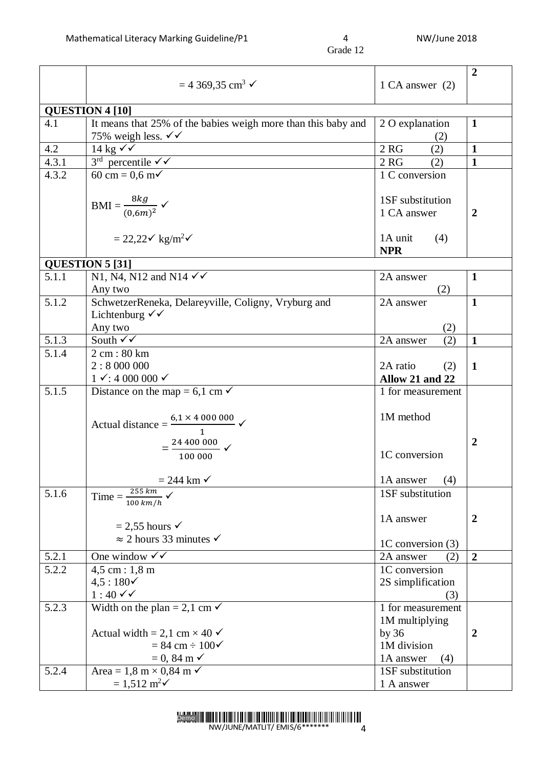|       | $= 4369,35$ cm <sup>3</sup> $\checkmark$                                                                                                            | 1 CA answer $(2)$                                                               | $\overline{2}$   |
|-------|-----------------------------------------------------------------------------------------------------------------------------------------------------|---------------------------------------------------------------------------------|------------------|
|       | <b>QUESTION 4 [10]</b>                                                                                                                              |                                                                                 |                  |
| 4.1   | It means that 25% of the babies weigh more than this baby and<br>75% weigh less. $\checkmark\checkmark$                                             | 2 O explanation<br>(2)                                                          | $\mathbf{1}$     |
| 4.2   | 14 kg $\sqrt{v}$                                                                                                                                    | 2 <sub>RG</sub><br>(2)                                                          | $\mathbf{1}$     |
| 4.3.1 | $3rd$ percentile $\checkmark$                                                                                                                       | 2 <sub>RG</sub><br>(2)                                                          | $\mathbf{1}$     |
| 4.3.2 | 60 cm = $0,6$ m $\checkmark$                                                                                                                        | 1 C conversion                                                                  |                  |
|       | $\text{BMI} = \frac{8kg}{(0.6m)^2} \checkmark$                                                                                                      | 1SF substitution<br>1 CA answer                                                 | 2                |
|       | $= 22.22 \times \text{kg/m}^2$                                                                                                                      | 1A unit<br>(4)<br><b>NPR</b>                                                    |                  |
|       | <b>QUESTION 5 [31]</b>                                                                                                                              |                                                                                 |                  |
| 5.1.1 | N1, N4, N12 and N14 $\checkmark\checkmark$<br>Any two                                                                                               | 2A answer<br>(2)                                                                | $\mathbf{1}$     |
| 5.1.2 | SchwetzerReneka, Delareyville, Coligny, Vryburg and<br>Lichtenburg $\checkmark\checkmark$                                                           | 2A answer                                                                       | $\mathbf{1}$     |
|       | Any two                                                                                                                                             | (2)                                                                             |                  |
| 5.1.3 | South $\sqrt{\sqrt{ }}$                                                                                                                             | 2A answer<br>(2)                                                                | $\mathbf{1}$     |
| 5.1.4 | 2 cm: 80 km<br>2:8000000<br>$1 \checkmark$ : 4 000 000 $\checkmark$                                                                                 | 2A ratio<br>(2)<br>Allow 21 and 22                                              | $\mathbf 1$      |
| 5.1.5 | Distance on the map = $6,1$ cm $\checkmark$                                                                                                         | 1 for measurement                                                               |                  |
|       | Actual distance = $\frac{6.1 \times 4\,000\,000}{1}$ $\checkmark$<br>$=\frac{24\,400\,000}{100\,000}$ $\checkmark$                                  | 1M method<br>1C conversion                                                      | $\overline{2}$   |
|       | $= 244$ km $\checkmark$                                                                                                                             | 1A answer<br>(4)                                                                |                  |
| 5.1.6 | 255 km<br>$Time =$<br>$100 \ km/h$                                                                                                                  | 1SF substitution                                                                |                  |
|       | $= 2,55$ hours $\checkmark$<br>$\approx$ 2 hours 33 minutes $\checkmark$                                                                            | 1A answer                                                                       | $\boldsymbol{2}$ |
| 5.2.1 | One window $\checkmark\checkmark$                                                                                                                   | 1C conversion (3)<br>2A answer<br>(2)                                           | $\overline{2}$   |
| 5.2.2 | $4,5$ cm : 1,8 m                                                                                                                                    | 1C conversion                                                                   |                  |
|       | $4.5:180\check{ }$<br>$1:40 \checkmark$                                                                                                             | 2S simplification<br>(3)                                                        |                  |
| 5.2.3 | Width on the plan = 2,1 cm $\checkmark$<br>Actual width = 2,1 cm $\times$ 40 $\checkmark$<br>$= 84$ cm $\div 100 \checkmark$<br>$= 0, 84 \text{ m}$ | 1 for measurement<br>1M multiplying<br>by 36<br>1M division<br>1A answer<br>(4) | $\boldsymbol{2}$ |
| 5.2.4 | Area = 1,8 m $\times$ 0,84 m $\checkmark$<br>$= 1,512 \text{ m}^2\checkmark$                                                                        | 1SF substitution<br>1 A answer                                                  |                  |